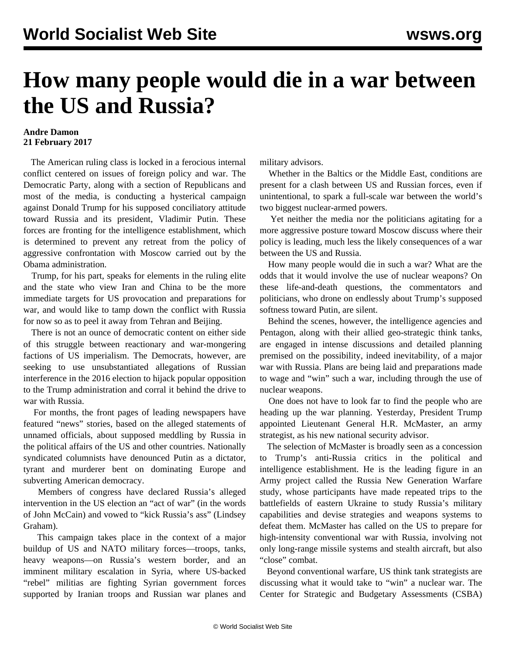## **How many people would die in a war between the US and Russia?**

## **Andre Damon 21 February 2017**

 The American ruling class is locked in a ferocious internal conflict centered on issues of foreign policy and war. The Democratic Party, along with a section of Republicans and most of the media, is conducting a hysterical campaign against Donald Trump for his supposed conciliatory attitude toward Russia and its president, Vladimir Putin. These forces are fronting for the intelligence establishment, which is determined to prevent any retreat from the policy of aggressive confrontation with Moscow carried out by the Obama administration.

 Trump, for his part, speaks for elements in the ruling elite and the state who view Iran and China to be the more immediate targets for US provocation and preparations for war, and would like to tamp down the conflict with Russia for now so as to peel it away from Tehran and Beijing.

 There is not an ounce of democratic content on either side of this struggle between reactionary and war-mongering factions of US imperialism. The Democrats, however, are seeking to use unsubstantiated allegations of Russian interference in the 2016 election to hijack popular opposition to the Trump administration and corral it behind the drive to war with Russia.

 For months, the front pages of leading newspapers have featured "news" stories, based on the alleged statements of unnamed officials, about supposed meddling by Russia in the political affairs of the US and other countries. Nationally syndicated columnists have denounced Putin as a dictator, tyrant and murderer bent on dominating Europe and subverting American democracy.

 Members of congress have declared Russia's alleged intervention in the US election an "act of war" (in the words of John McCain) and vowed to "kick Russia's ass" (Lindsey Graham).

 This campaign takes place in the context of a major buildup of US and NATO military forces—troops, tanks, heavy weapons—on Russia's western border, and an imminent military escalation in Syria, where US-backed "rebel" militias are fighting Syrian government forces supported by Iranian troops and Russian war planes and military advisors.

 Whether in the Baltics or the Middle East, conditions are present for a clash between US and Russian forces, even if unintentional, to spark a full-scale war between the world's two biggest nuclear-armed powers.

 Yet neither the media nor the politicians agitating for a more aggressive posture toward Moscow discuss where their policy is leading, much less the likely consequences of a war between the US and Russia.

 How many people would die in such a war? What are the odds that it would involve the use of nuclear weapons? On these life-and-death questions, the commentators and politicians, who drone on endlessly about Trump's supposed softness toward Putin, are silent.

 Behind the scenes, however, the intelligence agencies and Pentagon, along with their allied geo-strategic think tanks, are engaged in intense discussions and detailed planning premised on the possibility, indeed inevitability, of a major war with Russia. Plans are being laid and preparations made to wage and "win" such a war, including through the use of nuclear weapons.

 One does not have to look far to find the people who are heading up the war planning. Yesterday, President Trump appointed Lieutenant General H.R. McMaster, an army strategist, as his new national security advisor.

 The selection of McMaster is broadly seen as a concession to Trump's anti-Russia critics in the political and intelligence establishment. He is the leading figure in an Army project called the Russia New Generation Warfare study, whose participants have made repeated trips to the battlefields of eastern Ukraine to study Russia's military capabilities and devise strategies and weapons systems to defeat them. McMaster has called on the US to prepare for high-intensity conventional war with Russia, involving not only long-range missile systems and stealth aircraft, but also "close" combat.

 Beyond conventional warfare, US think tank strategists are discussing what it would take to "win" a nuclear war. The Center for Strategic and Budgetary Assessments (CSBA)